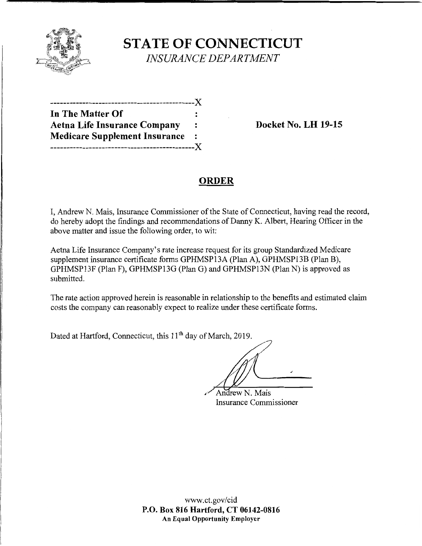

**STATE OF CONNECTICUT**  *INSURANCE DEPARTMENT* 

| In The Matter Of                     |                |
|--------------------------------------|----------------|
| <b>Aetna Life Insurance Company</b>  |                |
| <b>Medicare Supplement Insurance</b> | $\ddot{\cdot}$ |
| --------------------------X          |                |

**Docket No. LH 19-15** 

# **ORDER**

I, Andrew N. Mais, Insurance Commissioner of the State of Connecticut, having read the record, do hereby adopt the findings and recommendations of Danny K. Albert, Hearing Officer in the above matter and issue the following order, to wit:

Aetna Life Insurance Company's rate increase request for its group Standardized Medicare supplement insurance certificate forms GPHMSP13A (Plan A), GPHMSP13B (Plan B), GPHMSP13F (Plan F), GPHMSP13G (Plan G) and GPHMSP13N (Plan N) is approved as submitted.

The rate action approved herein is reasonable in relationship to the benefits and estimated claim costs the company can reasonably expect to realize under these certificate forms.

Dated at Hartford, Connecticut, this 11<sup>th</sup> day of March, 2019.

7/

Andrew N. Mais Insurance Commissioner

www.ct.gov/cid **P.O. Box 816 Hartford, CT 06142-0816 An Equal Opportunity Employer**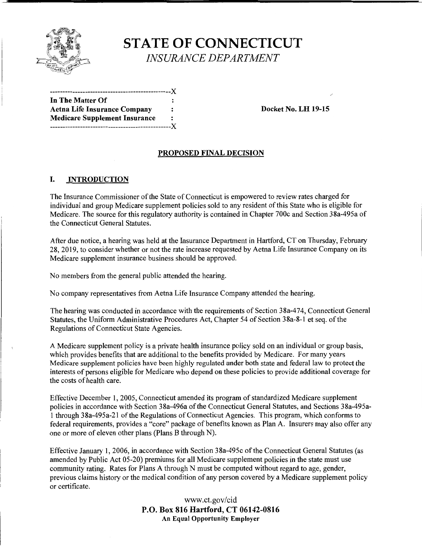

# **STATE OF CONNECTICUT**

*INSURANCE DEPARTMENT* 

------------------------------------------------)( **In The Matter Of**  Aetna Life Insurance Company : Docket No. LH 19-15 **Medicare Supplement Insurance**  ------------------------------------------------)(

#### **PROPOSED FINAL DECISION**

#### I. **INTRODUCTION**

The Insurance Commissioner of the State of Connecticut is empowered to review rates charged for individual and group Medicare supplement policies sold to any resident of this State who is eligible for Medicare. The source for this regulatory authority is contained in Chapter 700c and Section 38a-495a of the Connecticut General Statutes.

After due notice, a hearing was held at the Insurance Department in Hartford, CT on Thursday, February 28, 2019, to consider whether or not the rate increase requested by Aetna Life Insurance Company on its Medicare supplement insurance business should be approved.

No members from the general public attended the hearing.

No company representatives from Aetna Life Insurance Company attended the hearing.

The hearing was conducted in accordance with the requirements of Section 38a-474, Connecticut General Statutes, the Uniform Administrative Procedures Act, Chapter 54 of Section 38a-8-1 et seq. of the Regulations of Connecticut State Agencies.

A Medicare supplement policy is a private health insurance policy sold on an individual or group basis, which provides benefits that are additional to the benefits provided by Medicare. For many years Medicare supplement policies have been highly regulated under both state and federal law to protect the interests of persons eligible for Medicare who depend on these policies to provide additional coverage for the costs of health care.

Effective December 1, 2005, Connecticut amended its program of standardized Medicare supplement policies in accordance with Section 38a-496a of the Connecticut General Statutes, and Sections 38a-495a-1 through 38a-495a-2I of the Regulations of Connecticut Agencies. This program, which conforms to federal requirements, provides a "core" package of benefits known as Plan A. Insurers may also offer any one or more of eleven other plans (Plans B through N).

Effective January 1, 2006, in accordance with Section 38a-495c of the Connecticut General Statutes (as amended by Public Act 05-20) premiums for all Medicare supplement policies in the state must use community rating. Rates for Plans A through N must be computed without regard to age, gender, previous claims history or the medical condition of any person covered by a Medicare supplement policy or certificate.

> www.ct.gov/cid **P.O. Box 816 Hartford, CT 06142-0816 An Equal Opportunity Employer**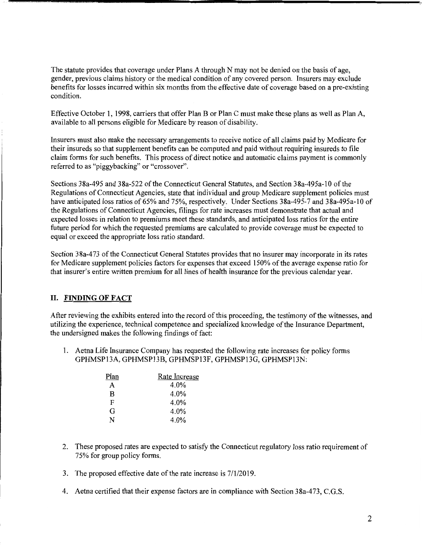The statute provides that coverage under Plans A through N may not be denied on the basis of age, gender, previous claims history or the medical condition of any covered person. Insurers may exclude benefits for losses incurred within six months from the effective date of coverage based on a pre-existing condition.

Effective October 1, 1998, carriers that offer Plan B or Plan C must make these plans as well as Plan A, available to all persons eligible for Medicare by reason of disability.

Insurers must also make the necessary arrangements to receive notice of all claims paid by Medicare for their insureds so that supplement benefits can be computed and paid without requiring insureds to file claim forms for such benefits. This process of direct notice and automatic claims payment is commonly referred to as "piggybacking" or "crossover".

Sections 3 8a-495 and 3 8a-522 of the Connecticut General Statutes, and Section 3 8a-495a-10 of the Regulations of Connecticut Agencies, state that individual and group Medicare supplement policies must have anticipated loss ratios of 65% and 75%, respectively. Under Sections 38a-495-7 and 38a-495a-10 of the Regulations of Connecticut Agencies, filings for rate increases must demonstrate that actual and expected losses in relation to premiums meet these standards, and anticipated loss ratios for the entire future period for which the requested premiums are calculated to provide coverage must be expected to equal or exceed the appropriate loss ratio standard.

Section 38a-473 of the Connecticut General Statutes provides that no insurer may incorporate in its rates for Medicare supplement policies factors for expenses that exceed 150% of the average expense ratio for that insurer's entire written premium for all lines of health insurance for the previous calendar year.

## II. **FINDING OF FACT**

After reviewing the exhibits entered into the record of this proceeding, the testimony of the witnesses, and utilizing the experience, technical competence and specialized knowledge ofthe Insurance Department, the undersigned makes the following findings of fact:

1. Aetna Life Insurance Company has requested the following rate increases for policy forms GPHMSP13A, GPHMSP13B, GPHMSP13F, GPHMSP13G, GPHMSP13N:

| Plan | Rate Increase |
|------|---------------|
| A    | $4.0\%$       |
| B    | 4.0%          |
| F    | 4.0%          |
| G    | 4.0%          |
| N    | 4.0%          |

- 2. These proposed rates are expected to satisfy the Connecticut regulatory loss ratio requirement of 75% for group policy forms.
- 3. The proposed effective date of the rate increase is 7/1/2019.
- 4. Aetna certified that their expense factors are in compliance with Section 38a-473, C.G.S.